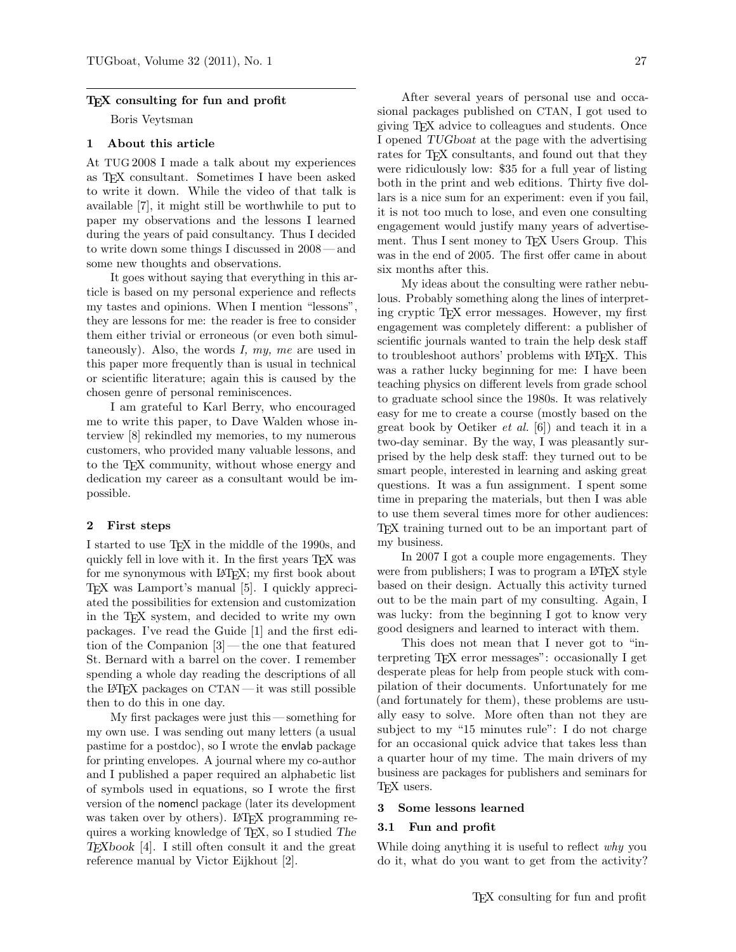### T<sub>F</sub>X consulting for fun and profit

Boris Veytsman

## 1 About this article

At TUG 2008 I made a talk about my experiences as TEX consultant. Sometimes I have been asked to write it down. While the video of that talk is available [\[7\]](#page-2-0), it might still be worthwhile to put to paper my observations and the lessons I learned during the years of paid consultancy. Thus I decided to write down some things I discussed in 2008 — and some new thoughts and observations.

It goes without saying that everything in this article is based on my personal experience and reflects my tastes and opinions. When I mention "lessons", they are lessons for me: the reader is free to consider them either trivial or erroneous (or even both simultaneously). Also, the words I, my, me are used in this paper more frequently than is usual in technical or scientific literature; again this is caused by the chosen genre of personal reminiscences.

I am grateful to Karl Berry, who encouraged me to write this paper, to Dave Walden whose interview [\[8\]](#page-2-1) rekindled my memories, to my numerous customers, who provided many valuable lessons, and to the TEX community, without whose energy and dedication my career as a consultant would be impossible.

#### 2 First steps

I started to use TEX in the middle of the 1990s, and quickly fell in love with it. In the first years TEX was for me synonymous with LAT<sub>EX</sub>; my first book about TEX was Lamport's manual [\[5\]](#page-2-2). I quickly appreciated the possibilities for extension and customization in the TEX system, and decided to write my own packages. I've read the Guide [\[1\]](#page-2-3) and the first edition of the Companion [\[3\]](#page-2-4)— the one that featured St. Bernard with a barrel on the cover. I remember spending a whole day reading the descriptions of all the LATEX packages on CTAN — it was still possible then to do this in one day.

My first packages were just this — something for my own use. I was sending out many letters (a usual pastime for a postdoc), so I wrote the envlab package for printing envelopes. A journal where my co-author and I published a paper required an alphabetic list of symbols used in equations, so I wrote the first version of the nomencl package (later its development was taken over by others). LAT<sub>F</sub>X programming requires a working knowledge of TEX, so I studied The TEXbook [\[4\]](#page-2-5). I still often consult it and the great reference manual by Victor Eijkhout [\[2\]](#page-2-6).

After several years of personal use and occasional packages published on CTAN, I got used to giving TEX advice to colleagues and students. Once I opened TUGboat at the page with the advertising rates for T<sub>F</sub>X consultants, and found out that they were ridiculously low: \$35 for a full year of listing both in the print and web editions. Thirty five dollars is a nice sum for an experiment: even if you fail, it is not too much to lose, and even one consulting engagement would justify many years of advertisement. Thus I sent money to T<sub>F</sub>X Users Group. This was in the end of 2005. The first offer came in about six months after this.

My ideas about the consulting were rather nebulous. Probably something along the lines of interpreting cryptic TEX error messages. However, my first engagement was completely different: a publisher of scientific journals wanted to train the help desk staff to troubleshoot authors' problems with L<sup>AT</sup>EX. This was a rather lucky beginning for me: I have been teaching physics on different levels from grade school to graduate school since the 1980s. It was relatively easy for me to create a course (mostly based on the great book by Oetiker et al. [\[6\]](#page-2-7)) and teach it in a two-day seminar. By the way, I was pleasantly surprised by the help desk staff: they turned out to be smart people, interested in learning and asking great questions. It was a fun assignment. I spent some time in preparing the materials, but then I was able to use them several times more for other audiences: TEX training turned out to be an important part of my business.

In 2007 I got a couple more engagements. They were from publishers; I was to program a LAT<sub>F</sub>X style based on their design. Actually this activity turned out to be the main part of my consulting. Again, I was lucky: from the beginning I got to know very good designers and learned to interact with them.

This does not mean that I never got to "interpreting TEX error messages": occasionally I get desperate pleas for help from people stuck with compilation of their documents. Unfortunately for me (and fortunately for them), these problems are usually easy to solve. More often than not they are subject to my "15 minutes rule": I do not charge for an occasional quick advice that takes less than a quarter hour of my time. The main drivers of my business are packages for publishers and seminars for TEX users.

#### 3 Some lessons learned

### 3.1 Fun and profit

While doing anything it is useful to reflect why you do it, what do you want to get from the activity?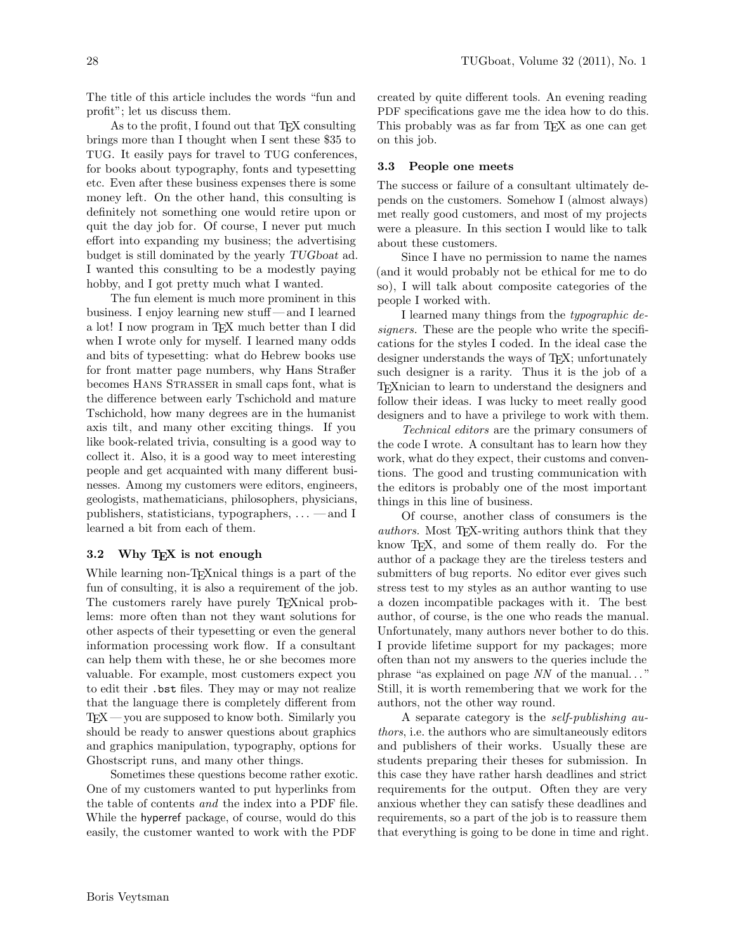The title of this article includes the words "fun and profit"; let us discuss them.

As to the profit, I found out that TEX consulting brings more than I thought when I sent these \$35 to TUG. It easily pays for travel to TUG conferences, for books about typography, fonts and typesetting etc. Even after these business expenses there is some money left. On the other hand, this consulting is definitely not something one would retire upon or quit the day job for. Of course, I never put much effort into expanding my business; the advertising budget is still dominated by the yearly TUGboat ad. I wanted this consulting to be a modestly paying hobby, and I got pretty much what I wanted.

The fun element is much more prominent in this business. I enjoy learning new stuff — and I learned a lot! I now program in T<sub>EX</sub> much better than I did when I wrote only for myself. I learned many odds and bits of typesetting: what do Hebrew books use for front matter page numbers, why Hans Straßer becomes HANS STRASSER in small caps font, what is the difference between early Tschichold and mature Tschichold, how many degrees are in the humanist axis tilt, and many other exciting things. If you like book-related trivia, consulting is a good way to collect it. Also, it is a good way to meet interesting people and get acquainted with many different businesses. Among my customers were editors, engineers, geologists, mathematicians, philosophers, physicians, publishers, statisticians, typographers,  $\dots$  — and I learned a bit from each of them.

# 3.2 Why T<sub>E</sub>X is not enough

While learning non-T<sub>E</sub>Xnical things is a part of the fun of consulting, it is also a requirement of the job. The customers rarely have purely T<sub>E</sub>Xnical problems: more often than not they want solutions for other aspects of their typesetting or even the general information processing work flow. If a consultant can help them with these, he or she becomes more valuable. For example, most customers expect you to edit their .bst files. They may or may not realize that the language there is completely different from  $TFX$  — you are supposed to know both. Similarly you should be ready to answer questions about graphics and graphics manipulation, typography, options for Ghostscript runs, and many other things.

Sometimes these questions become rather exotic. One of my customers wanted to put hyperlinks from the table of contents and the index into a PDF file. While the hyperref package, of course, would do this easily, the customer wanted to work with the PDF

created by quite different tools. An evening reading PDF specifications gave me the idea how to do this. This probably was as far from TEX as one can get on this job.

#### 3.3 People one meets

The success or failure of a consultant ultimately depends on the customers. Somehow I (almost always) met really good customers, and most of my projects were a pleasure. In this section I would like to talk about these customers.

Since I have no permission to name the names (and it would probably not be ethical for me to do so), I will talk about composite categories of the people I worked with.

I learned many things from the typographic designers. These are the people who write the specifications for the styles I coded. In the ideal case the designer understands the ways of T<sub>E</sub>X; unfortunately such designer is a rarity. Thus it is the job of a TEXnician to learn to understand the designers and follow their ideas. I was lucky to meet really good designers and to have a privilege to work with them.

Technical editors are the primary consumers of the code I wrote. A consultant has to learn how they work, what do they expect, their customs and conventions. The good and trusting communication with the editors is probably one of the most important things in this line of business.

Of course, another class of consumers is the authors. Most TEX-writing authors think that they know T<sub>E</sub>X, and some of them really do. For the author of a package they are the tireless testers and submitters of bug reports. No editor ever gives such stress test to my styles as an author wanting to use a dozen incompatible packages with it. The best author, of course, is the one who reads the manual. Unfortunately, many authors never bother to do this. I provide lifetime support for my packages; more often than not my answers to the queries include the phrase "as explained on page  $NN$  of the manual..." Still, it is worth remembering that we work for the authors, not the other way round.

A separate category is the self-publishing authors, i.e. the authors who are simultaneously editors and publishers of their works. Usually these are students preparing their theses for submission. In this case they have rather harsh deadlines and strict requirements for the output. Often they are very anxious whether they can satisfy these deadlines and requirements, so a part of the job is to reassure them that everything is going to be done in time and right.